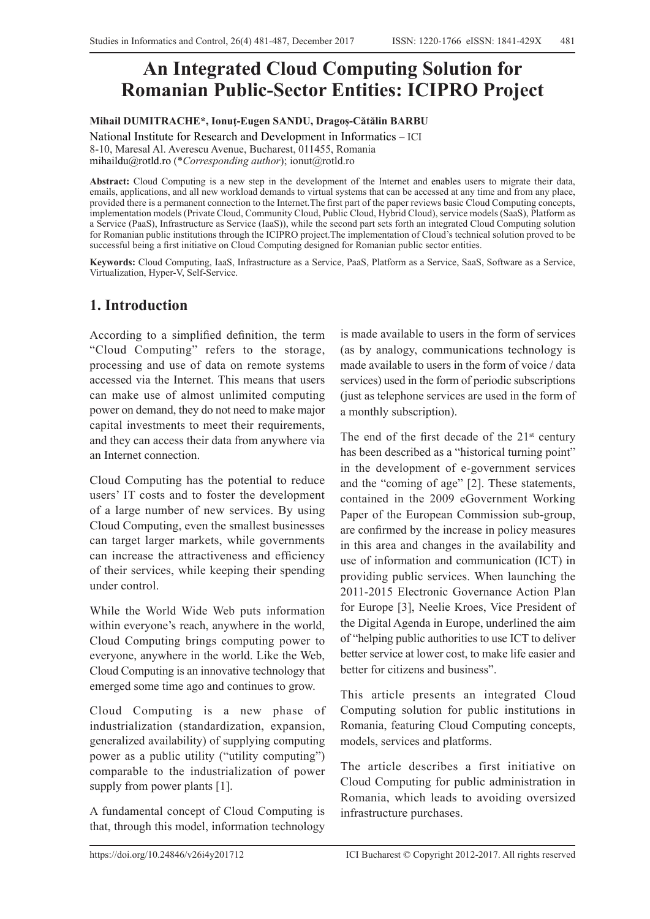# **An Integrated Cloud Computing Solution for Romanian Public-Sector Entities: ICIPRO Project**

#### **Mihail DUMITRACHE\*, Ionuţ-Eugen SANDU, Dragoș-Cătălin BARBU**

National Institute for Research and Development in Informatics – ICI 8-10, Maresal Al. Averescu Avenue, Bucharest, 011455, Romania mihaildu@rotld.ro (\**Corresponding author*); ionut@rotld.ro

**Abstract:** Cloud Computing is a new step in the development of the Internet and enables users to migrate their data, emails, applications, and all new workload demands to virtual systems that can be accessed at any time and from any place, provided there is a permanent connection to the Internet.The first part of the paper reviews basic Cloud Computing concepts, implementation models (Private Cloud, Community Cloud, Public Cloud, Hybrid Cloud), service models (SaaS), Platform as a Service (PaaS), Infrastructure as Service (IaaS)), while the second part sets forth an integrated Cloud Computing solution for Romanian public institutions through the ICIPRO project.The implementation of Cloud's technical solution proved to be successful being a first initiative on Cloud Computing designed for Romanian public sector entities.

**Keywords:** Cloud Computing, IaaS, Infrastructure as a Service, PaaS, Platform as a Service, SaaS, Software as a Service, Virtualization, Hyper-V, Self-Service.

#### **1. Introduction**

According to a simplified definition, the term "Cloud Computing" refers to the storage, processing and use of data on remote systems accessed via the Internet. This means that users can make use of almost unlimited computing power on demand, they do not need to make major capital investments to meet their requirements, and they can access their data from anywhere via an Internet connection.

Cloud Computing has the potential to reduce users' IT costs and to foster the development of a large number of new services. By using Cloud Computing, even the smallest businesses can target larger markets, while governments can increase the attractiveness and efficiency of their services, while keeping their spending under control.

While the World Wide Web puts information within everyone's reach, anywhere in the world, Cloud Computing brings computing power to everyone, anywhere in the world. Like the Web, Cloud Computing is an innovative technology that emerged some time ago and continues to grow.

Cloud Computing is a new phase of industrialization (standardization, expansion, generalized availability) of supplying computing power as a public utility ("utility computing") comparable to the industrialization of power supply from power plants [1].

A fundamental concept of Cloud Computing is that, through this model, information technology is made available to users in the form of services (as by analogy, communications technology is made available to users in the form of voice / data services) used in the form of periodic subscriptions (just as telephone services are used in the form of a monthly subscription).

The end of the first decade of the  $21<sup>st</sup>$  century has been described as a "historical turning point" in the development of e-government services and the "coming of age" [2]. These statements, contained in the 2009 eGovernment Working Paper of the European Commission sub-group, are confirmed by the increase in policy measures in this area and changes in the availability and use of information and communication (ICT) in providing public services. When launching the 2011-2015 Electronic Governance Action Plan for Europe [3], Neelie Kroes, Vice President of the Digital Agenda in Europe, underlined the aim of "helping public authorities to use ICT to deliver better service at lower cost, to make life easier and better for citizens and business".

This article presents an integrated Cloud Computing solution for public institutions in Romania, featuring Cloud Computing concepts, models, services and platforms.

The article describes a first initiative on Cloud Computing for public administration in Romania, which leads to avoiding oversized infrastructure purchases.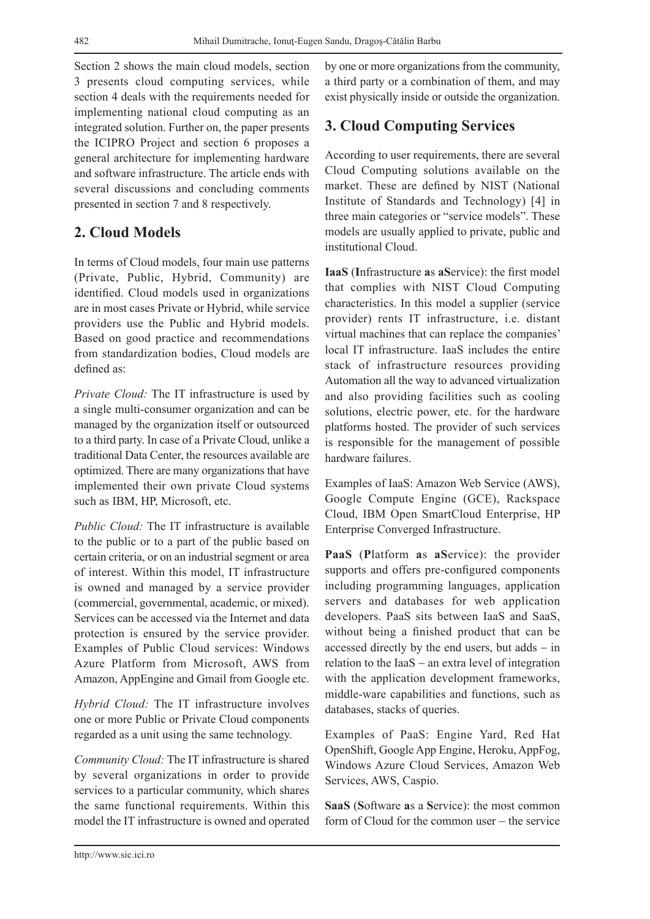Section 2 shows the main cloud models, section 3 presents cloud computing services, while section 4 deals with the requirements needed for implementing national cloud computing as an integrated solution. Further on, the paper presents the ICIPRO Project and section 6 proposes a general architecture for implementing hardware and software infrastructure. The article ends with several discussions and concluding comments presented in section 7 and 8 respectively.

## **2. Cloud Models**

In terms of Cloud models, four main use patterns (Private, Public, Hybrid, Community) are identified. Cloud models used in organizations are in most cases Private or Hybrid, while service providers use the Public and Hybrid models. Based on good practice and recommendations from standardization bodies, Cloud models are defined as:

*Private Cloud:* The IT infrastructure is used by a single multi-consumer organization and can be managed by the organization itself or outsourced to a third party. In case of a Private Cloud, unlike a traditional Data Center, the resources available are optimized. There are many organizations that have implemented their own private Cloud systems such as IBM, HP, Microsoft, etc.

*Public Cloud:* The IT infrastructure is available to the public or to a part of the public based on certain criteria, or on an industrial segment or area of interest. Within this model, IT infrastructure is owned and managed by a service provider (commercial, governmental, academic, or mixed). Services can be accessed via the Internet and data protection is ensured by the service provider. Examples of Public Cloud services: Windows Azure Platform from Microsoft, AWS from Amazon, AppEngine and Gmail from Google etc.

*Hybrid Cloud:* The IT infrastructure involves one or more Public or Private Cloud components regarded as a unit using the same technology.

*Community Cloud:* The IT infrastructure is shared by several organizations in order to provide services to a particular community, which shares the same functional requirements. Within this model the IT infrastructure is owned and operated

by one or more organizations from the community, a third party or a combination of them, and may exist physically inside or outside the organization.

#### **3. Cloud Computing Services**

According to user requirements, there are several Cloud Computing solutions available on the market. These are defined by NIST (National Institute of Standards and Technology) [4] in three main categories or "service models". These models are usually applied to private, public and institutional Cloud.

**IaaS** (**I**nfrastructure **a**s **aS**ervice): the first model that complies with NIST Cloud Computing characteristics. In this model a supplier (service provider) rents IT infrastructure, i.e. distant virtual machines that can replace the companies' local IT infrastructure. IaaS includes the entire stack of infrastructure resources providing Automation all the way to advanced virtualization and also providing facilities such as cooling solutions, electric power, etc. for the hardware platforms hosted. The provider of such services is responsible for the management of possible hardware failures.

Examples of IaaS: Amazon Web Service (AWS), Google Compute Engine (GCE), Rackspace Cloud, IBM Open SmartCloud Enterprise, HP Enterprise Converged Infrastructure.

**PaaS** (**P**latform **a**s **aS**ervice): the provider supports and offers pre-configured components including programming languages, application servers and databases for web application developers. PaaS sits between IaaS and SaaS, without being a finished product that can be accessed directly by the end users, but adds − in relation to the IaaS − an extra level of integration with the application development frameworks, middle-ware capabilities and functions, such as databases, stacks of queries.

Examples of PaaS: Engine Yard, Red Hat OpenShift, Google App Engine, Heroku, AppFog, Windows Azure Cloud Services, Amazon Web Services, AWS, Caspio.

**SaaS** (**S**oftware **a**s a **S**ervice): the most common form of Cloud for the common user – the service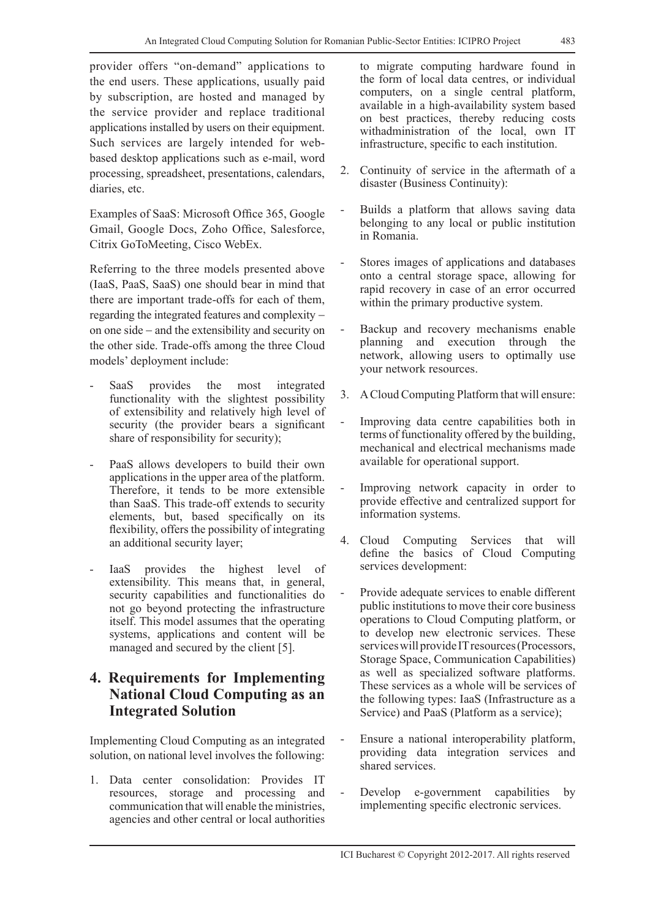provider offers "on-demand" applications to the end users. These applications, usually paid by subscription, are hosted and managed by the service provider and replace traditional applications installed by users on their equipment. Such services are largely intended for webbased desktop applications such as e-mail, word processing, spreadsheet, presentations, calendars, diaries, etc.

Examples of SaaS: Microsoft Office 365, Google Gmail, Google Docs, Zoho Office, Salesforce, Citrix GoToMeeting, Cisco WebEx.

Referring to the three models presented above (IaaS, PaaS, SaaS) one should bear in mind that there are important trade-offs for each of them, regarding the integrated features and complexity − on one side − and the extensibility and security on the other side. Trade-offs among the three Cloud models' deployment include:

- SaaS provides the most integrated functionality with the slightest possibility of extensibility and relatively high level of security (the provider bears a significant share of responsibility for security);
- PaaS allows developers to build their own applications in the upper area of the platform. Therefore, it tends to be more extensible than SaaS. This trade-off extends to security elements, but, based specifically on its flexibility, offers the possibility of integrating an additional security layer;
- IaaS provides the highest level of extensibility. This means that, in general, security capabilities and functionalities do not go beyond protecting the infrastructure itself. This model assumes that the operating systems, applications and content will be managed and secured by the client [5].

## **4. Requirements for Implementing National Cloud Computing as an Integrated Solution**

Implementing Cloud Computing as an integrated solution, on national level involves the following:

1. Data center consolidation: Provides IT resources, storage and processing and communication that will enable the ministries, agencies and other central or local authorities

to migrate computing hardware found in the form of local data centres, or individual computers, on a single central platform, available in a high-availability system based on best practices, thereby reducing costs withadministration of the local, own IT infrastructure, specific to each institution.

- 2. Continuity of service in the aftermath of a disaster (Business Continuity):
- Builds a platform that allows saving data belonging to any local or public institution in Romania.
- Stores images of applications and databases onto a central storage space, allowing for rapid recovery in case of an error occurred within the primary productive system.
- Backup and recovery mechanisms enable planning and execution through the network, allowing users to optimally use your network resources.
- 3. A Cloud Computing Platform that will ensure:
- Improving data centre capabilities both in terms of functionality offered by the building, mechanical and electrical mechanisms made available for operational support.
- Improving network capacity in order to provide effective and centralized support for information systems.
- 4. Cloud Computing Services that will define the basics of Cloud Computing services development:
- Provide adequate services to enable different public institutions to move their core business operations to Cloud Computing platform, or to develop new electronic services. These services will provide IT resources (Processors, Storage Space, Communication Capabilities) as well as specialized software platforms. These services as a whole will be services of the following types: IaaS (Infrastructure as a Service) and PaaS (Platform as a service);
- Ensure a national interoperability platform, providing data integration services and shared services.
- Develop e-government capabilities by implementing specific electronic services.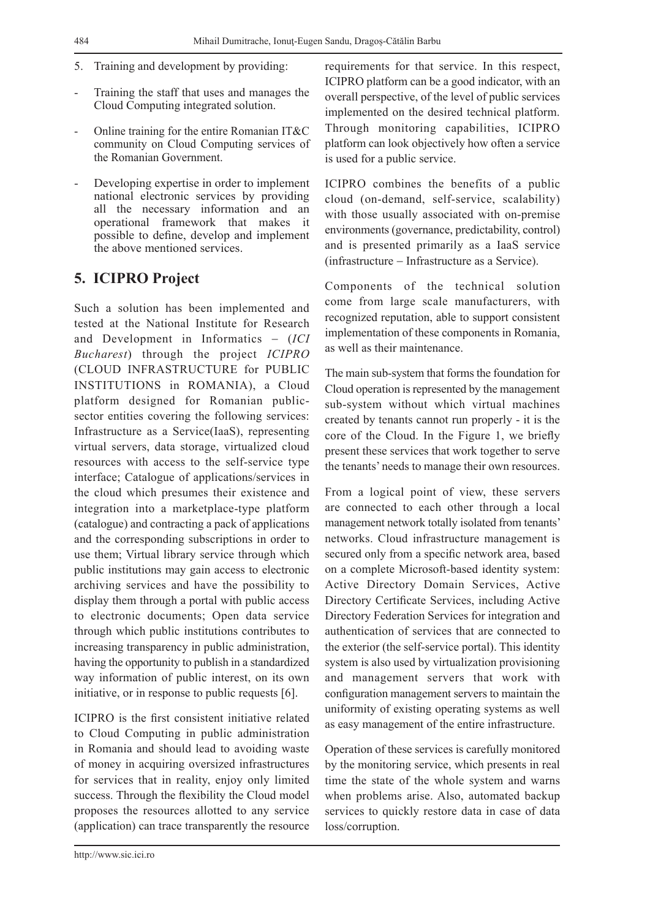- 5. Training and development by providing:
- Training the staff that uses and manages the Cloud Computing integrated solution.
- Online training for the entire Romanian IT&C community on Cloud Computing services of the Romanian Government.
- Developing expertise in order to implement national electronic services by providing all the necessary information and an operational framework that makes it possible to define, develop and implement the above mentioned services.

#### **5. ICIPRO Project**

Such a solution has been implemented and tested at the National Institute for Research and Development in Informatics − (*ICI Bucharest*) through the project *ICIPRO*  (CLOUD INFRASTRUCTURE for PUBLIC INSTITUTIONS in ROMANIA), a Cloud platform designed for Romanian publicsector entities covering the following services: Infrastructure as a Service(IaaS), representing virtual servers, data storage, virtualized cloud resources with access to the self-service type interface; Catalogue of applications/services in the cloud which presumes their existence and integration into a marketplace-type platform (catalogue) and contracting a pack of applications and the corresponding subscriptions in order to use them; Virtual library service through which public institutions may gain access to electronic archiving services and have the possibility to display them through a portal with public access to electronic documents; Open data service through which public institutions contributes to increasing transparency in public administration, having the opportunity to publish in a standardized way information of public interest, on its own initiative, or in response to public requests [6].

ICIPRO is the first consistent initiative related to Cloud Computing in public administration in Romania and should lead to avoiding waste of money in acquiring oversized infrastructures for services that in reality, enjoy only limited success. Through the flexibility the Cloud model proposes the resources allotted to any service (application) can trace transparently the resource

requirements for that service. In this respect, ICIPRO platform can be a good indicator, with an overall perspective, of the level of public services implemented on the desired technical platform. Through monitoring capabilities, ICIPRO platform can look objectively how often a service is used for a public service.

ICIPRO combines the benefits of a public cloud (on-demand, self-service, scalability) with those usually associated with on-premise environments (governance, predictability, control) and is presented primarily as a IaaS service (infrastructure − Infrastructure as a Service).

Components of the technical solution come from large scale manufacturers, with recognized reputation, able to support consistent implementation of these components in Romania, as well as their maintenance.

The main sub-system that forms the foundation for Cloud operation is represented by the management sub-system without which virtual machines created by tenants cannot run properly - it is the core of the Cloud. In the Figure 1, we briefly present these services that work together to serve the tenants' needs to manage their own resources.

From a logical point of view, these servers are connected to each other through a local management network totally isolated from tenants' networks. Cloud infrastructure management is secured only from a specific network area, based on a complete Microsoft-based identity system: Active Directory Domain Services, Active Directory Certificate Services, including Active Directory Federation Services for integration and authentication of services that are connected to the exterior (the self-service portal). This identity system is also used by virtualization provisioning and management servers that work with configuration management servers to maintain the uniformity of existing operating systems as well as easy management of the entire infrastructure.

Operation of these services is carefully monitored by the monitoring service, which presents in real time the state of the whole system and warns when problems arise. Also, automated backup services to quickly restore data in case of data loss/corruption.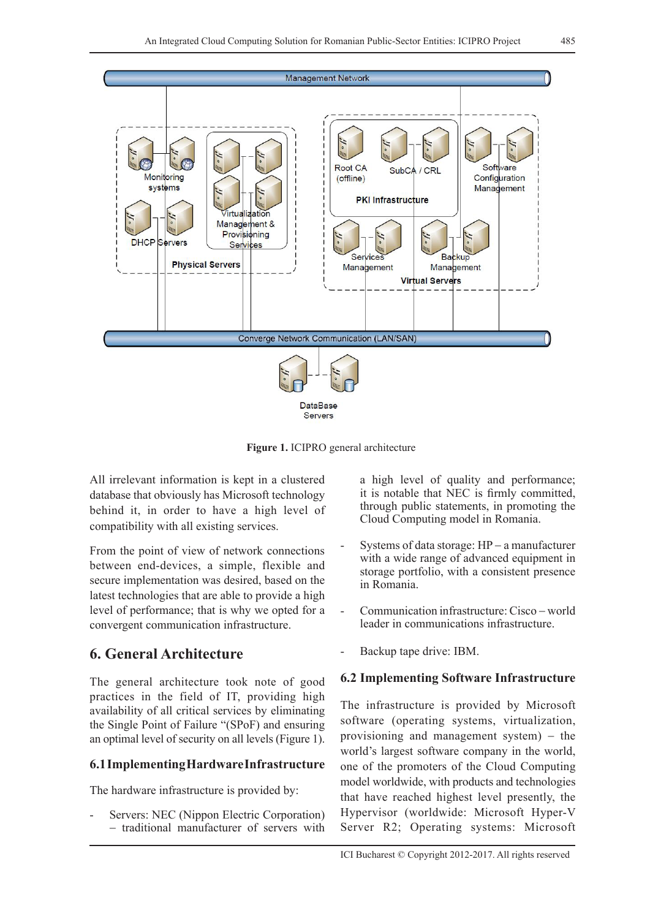

**Figure 1.** ICIPRO general architecture

All irrelevant information is kept in a clustered database that obviously has Microsoft technology behind it, in order to have a high level of compatibility with all existing services.

From the point of view of network connections between end-devices, a simple, flexible and secure implementation was desired, based on the latest technologies that are able to provide a high level of performance; that is why we opted for a convergent communication infrastructure.

## **6. General Architecture**

The general architecture took note of good practices in the field of IT, providing high availability of all critical services by eliminating the Single Point of Failure "(SPoF) and ensuring an optimal level of security on all levels (Figure 1).

#### **6.1 Implementing Hardware Infrastructure**

The hardware infrastructure is provided by:

Servers: NEC (Nippon Electric Corporation) − traditional manufacturer of servers with a high level of quality and performance; it is notable that NEC is firmly committed, through public statements, in promoting the Cloud Computing model in Romania.

- Systems of data storage: HP − a manufacturer with a wide range of advanced equipment in storage portfolio, with a consistent presence in Romania.
- Communication infrastructure: Cisco − world leader in communications infrastructure.
- Backup tape drive: IBM.

#### **6.2 Implementing Software Infrastructure**

The infrastructure is provided by Microsoft software (operating systems, virtualization, provisioning and management system) – the world's largest software company in the world, one of the promoters of the Cloud Computing model worldwide, with products and technologies that have reached highest level presently, the Hypervisor (worldwide: Microsoft Hyper-V Server R2; Operating systems: Microsoft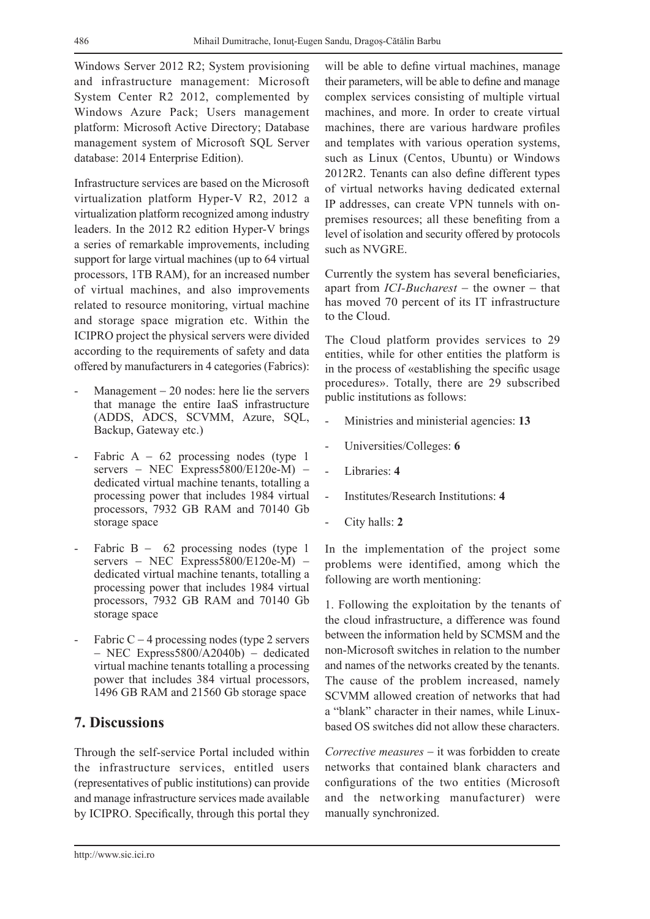Windows Server 2012 R2; System provisioning and infrastructure management: Microsoft System Center R2 2012, complemented by Windows Azure Pack; Users management platform: Microsoft Active Directory; Database management system of Microsoft SQL Server database: 2014 Enterprise Edition).

Infrastructure services are based on the Microsoft virtualization platform Hyper-V R2, 2012 a virtualization platform recognized among industry leaders. In the 2012 R2 edition Hyper-V brings a series of remarkable improvements, including support for large virtual machines (up to 64 virtual processors, 1TB RAM), for an increased number of virtual machines, and also improvements related to resource monitoring, virtual machine and storage space migration etc. Within the ICIPRO project the physical servers were divided according to the requirements of safety and data offered by manufacturers in 4 categories (Fabrics):

- Management  $-20$  nodes: here lie the servers that manage the entire IaaS infrastructure (ADDS, ADCS, SCVMM, Azure, SQL, Backup, Gateway etc.)
- Fabric A  $-62$  processing nodes (type 1) servers – NEC Express5800/E120e-M) – dedicated virtual machine tenants, totalling a processing power that includes 1984 virtual processors, 7932 GB RAM and 70140 Gb storage space
- Fabric B  $-$  62 processing nodes (type 1) servers – NEC Express5800/E120e-M) – dedicated virtual machine tenants, totalling a processing power that includes 1984 virtual processors, 7932 GB RAM and 70140 Gb storage space
- Fabric C  $-$  4 processing nodes (type 2 servers − NEC Express5800/A2040b) − dedicated virtual machine tenants totalling a processing power that includes 384 virtual processors, 1496 GB RAM and 21560 Gb storage space

## **7. Discussions**

Through the self-service Portal included within the infrastructure services, entitled users (representatives of public institutions) can provide and manage infrastructure services made available by ICIPRO. Specifically, through this portal they will be able to define virtual machines, manage their parameters, will be able to define and manage complex services consisting of multiple virtual machines, and more. In order to create virtual machines, there are various hardware profiles and templates with various operation systems, such as Linux (Centos, Ubuntu) or Windows 2012R2. Tenants can also define different types of virtual networks having dedicated external IP addresses, can create VPN tunnels with onpremises resources; all these benefiting from a level of isolation and security offered by protocols such as NVGRE.

Currently the system has several beneficiaries, apart from *ICI-Bucharest* − the owner − that has moved 70 percent of its IT infrastructure to the Cloud.

The Cloud platform provides services to 29 entities, while for other entities the platform is in the process of «establishing the specific usage procedures». Totally, there are 29 subscribed public institutions as follows:

- Ministries and ministerial agencies: **13**
- Universities/Colleges: **6**
- Libraries: **4**
- Institutes/Research Institutions: **4**
- City halls: **2**

In the implementation of the project some problems were identified, among which the following are worth mentioning:

1. Following the exploitation by the tenants of the cloud infrastructure, a difference was found between the information held by SCMSM and the non-Microsoft switches in relation to the number and names of the networks created by the tenants. The cause of the problem increased, namely SCVMM allowed creation of networks that had a "blank" character in their names, while Linuxbased OS switches did not allow these characters.

*Corrective measures* − it was forbidden to create networks that contained blank characters and configurations of the two entities (Microsoft and the networking manufacturer) were manually synchronized.